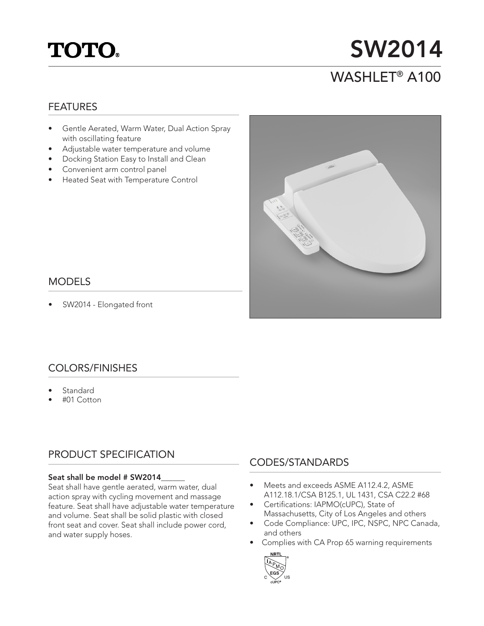# **TOTO.**

## SW2014 WASHLET® A100

### FEATURES

- Gentle Aerated, Warm Water, Dual Action Spray with oscillating feature
- Adjustable water temperature and volume
- Docking Station Easy to Install and Clean
- Convenient arm control panel
- Heated Seat with Temperature Control



### MODELS

SW2014 - Elongated front

## COLORS/FINISHES

- **Standard**
- #01 Cotton

## PRODUCT SPECIFICATION

#### Seat shall be model # SW2014

Seat shall have gentle aerated, warm water, dual action spray with cycling movement and massage feature. Seat shall have adjustable water temperature and volume. Seat shall be solid plastic with closed front seat and cover. Seat shall include power cord, and water supply hoses.

## CODES/STANDARDS

- Meets and exceeds ASME A112.4.2, ASME A112.18.1/CSA B125.1, UL 1431, CSA C22.2 #68
- Certifications: IAPMO(cUPC), State of Massachusetts, City of Los Angeles and others
- Code Compliance: UPC, IPC, NSPC, NPC Canada, and others
- Complies with CA Prop 65 warning requirements